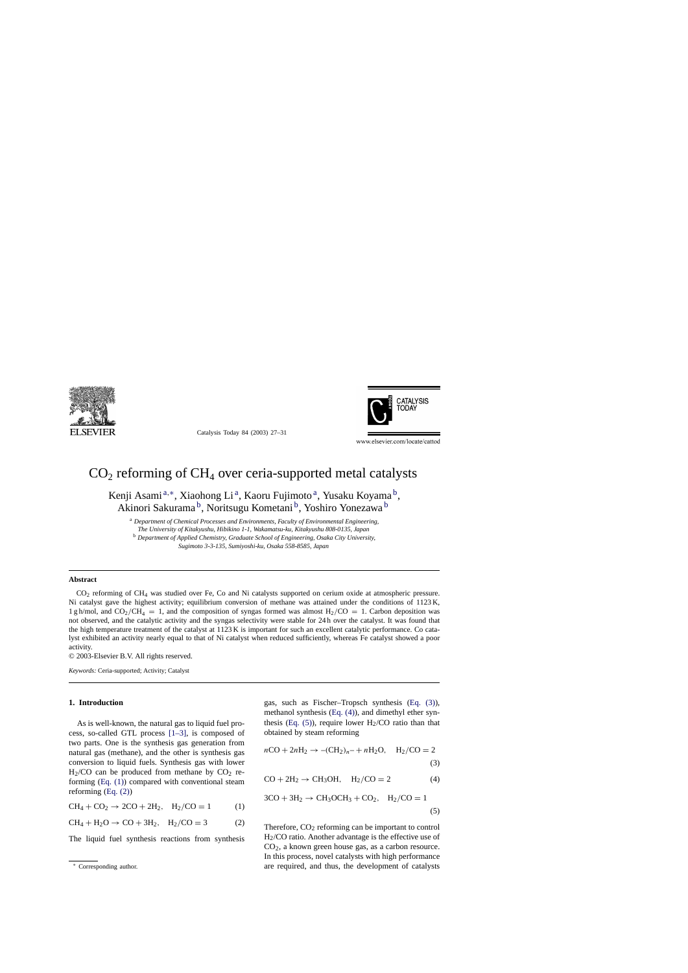

Catalysis Today 84 (2003) 27–31



www.elsevier.com/locate/cattod

# $CO<sub>2</sub>$  reforming of  $CH<sub>4</sub>$  over ceria-supported metal catalysts

Kenji Asami<sup>a,∗</sup>, Xiaohong Li<sup>a</sup>, Kaoru Fujimoto<sup>a</sup>, Yusaku Koyama<sup>b</sup>, Akinori Sakurama<sup>b</sup>, Noritsugu Kometani<sup>b</sup>, Yoshiro Yonezawa<sup>b</sup>

<sup>a</sup> *Department of Chemical Processes and Environments, Faculty of Environmental Engineering,*

*The University of Kitakyushu, Hibikino 1-1, Wakamatsu-ku, Kitakyushu 808-0135, Japan* <sup>b</sup> *Department of Applied Chemistry, Graduate School of Engineering, Osaka City University,*

*Sugimoto 3-3-135, Sumiyoshi-ku, Osaka 558-8585, Japan*

### **Abstract**

CO2 reforming of CH4 was studied over Fe, Co and Ni catalysts supported on cerium oxide at atmospheric pressure. Ni catalyst gave the highest activity; equilibrium conversion of methane was attained under the conditions of 1123 K, 1 g h/mol, and  $CO_2/CH_4 = 1$ , and the composition of syngas formed was almost  $H_2/CO = 1$ . Carbon deposition was not observed, and the catalytic activity and the syngas selectivity were stable for 24 h over the catalyst. It was found that the high temperature treatment of the catalyst at 1123 K is important for such an excellent catalytic performance. Co catalyst exhibited an activity nearly equal to that of Ni catalyst when reduced sufficiently, whereas Fe catalyst showed a poor activity.

© 2003-Elsevier B.V. All rights reserved.

*Keywords:* Ceria-supported; Activity; Catalyst

## **1. Introduction**

As is well-known, the natural gas to liquid fuel process, so-called GTL process [\[1–3\],](#page-4-0) is composed of two parts. One is the synthesis gas generation from natural gas (methane), and the other is synthesis gas conversion to liquid fuels. Synthesis gas with lower  $H<sub>2</sub>/CO$  can be produced from methane by  $CO<sub>2</sub>$  reforming (Eq. (1)) compared with conventional steam reforming (Eq. (2))

 $CH_4 + CO_2 \rightarrow 2CO + 2H_2$ ,  $H_2/CO = 1$  (1)

$$
CH_4 + H_2O \to CO + 3H_2, \quad H_2/CO = 3
$$
 (2)

The liquid fuel synthesis reactions from synthesis

gas, such as Fischer–Tropsch synthesis (Eq. (3)), methanol synthesis (Eq. (4)), and dimethyl ether synthesis (Eq.  $(5)$ ), require lower H<sub>2</sub>/CO ratio than that obtained by steam reforming

$$
nCO + 2nH_2 \to -(CH_2)_n + nH_2O, \quad H_2/CO = 2
$$
\n(3)

$$
CO + 2H_2 \rightarrow CH_3OH, \quad H_2/CO = 2 \tag{4}
$$

$$
3CO + 3H2 \rightarrow CH3OCH3 + CO2, H2/CO = 1
$$
\n(5)

Therefore,  $CO<sub>2</sub>$  reforming can be important to control H2/CO ratio. Another advantage is the effective use of CO2, a known green house gas, as a carbon resource. In this process, novel catalysts with high performance are required, and thus, the development of catalysts

<sup>∗</sup> Corresponding author.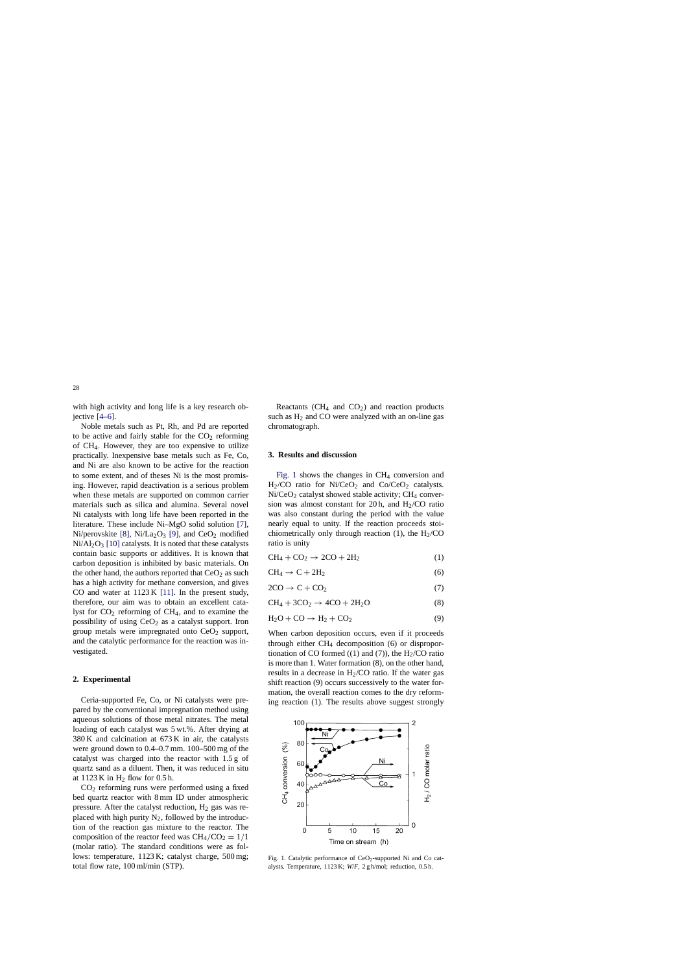with high activity and long life is a key research objective [\[4–6\].](#page-4-0)

Noble metals such as Pt, Rh, and Pd are reported to be active and fairly stable for the  $CO<sub>2</sub>$  reforming of CH4. However, they are too expensive to utilize practically. Inexpensive base metals such as Fe, Co, and Ni are also known to be active for the reaction to some extent, and of theses Ni is the most promising. However, rapid deactivation is a serious problem when these metals are supported on common carrier materials such as silica and alumina. Several novel Ni catalysts with long life have been reported in the literature. These include Ni–MgO solid solution [\[7\],](#page-4-0) Ni/perovskite [\[8\],](#page-4-0) Ni/La<sub>2</sub>O<sub>3</sub> [\[9\],](#page-4-0) and CeO<sub>2</sub> modified  $Ni/Al<sub>2</sub>O<sub>3</sub>$  [\[10\]](#page-4-0) catalysts. It is noted that these catalysts contain basic supports or additives. It is known that carbon deposition is inhibited by basic materials. On the other hand, the authors reported that  $CeO<sub>2</sub>$  as such has a high activity for methane conversion, and gives CO and water at 1123 K [\[11\].](#page-4-0) In the present study, therefore, our aim was to obtain an excellent catalyst for  $CO<sub>2</sub>$  reforming of  $CH<sub>4</sub>$ , and to examine the possibility of using  $CeO<sub>2</sub>$  as a catalyst support. Iron group metals were impregnated onto  $CeO<sub>2</sub>$  support, and the catalytic performance for the reaction was investigated.

### **2. Experimental**

Ceria-supported Fe, Co, or Ni catalysts were prepared by the conventional impregnation method using aqueous solutions of those metal nitrates. The metal loading of each catalyst was 5 wt.%. After drying at 380 K and calcination at 673 K in air, the catalysts were ground down to 0.4–0.7 mm. 100–500 mg of the catalyst was charged into the reactor with 1.5 g of quartz sand as a diluent. Then, it was reduced in situ at  $1123 \text{ K}$  in H<sub>2</sub> flow for 0.5 h.

CO2 reforming runs were performed using a fixed bed quartz reactor with 8 mm ID under atmospheric pressure. After the catalyst reduction,  $H_2$  gas was replaced with high purity  $N_2$ , followed by the introduction of the reaction gas mixture to the reactor. The composition of the reactor feed was  $CH_4/CO_2 = 1/1$ (molar ratio). The standard conditions were as follows: temperature, 1123 K; catalyst charge, 500 mg; total flow rate, 100 ml/min (STP).

Reactants (CH<sub>4</sub> and CO<sub>2</sub>) and reaction products such as  $H_2$  and CO were analyzed with an on-line gas chromatograph.

#### **3. Results and discussion**

Fig. 1 shows the changes in CH4 conversion and  $H<sub>2</sub>/CO$  ratio for Ni/CeO<sub>2</sub> and Co/CeO<sub>2</sub> catalysts.  $Ni/CeO<sub>2</sub>$  catalyst showed stable activity; CH<sub>4</sub> conversion was almost constant for 20 h, and  $H<sub>2</sub>/CO$  ratio was also constant during the period with the value nearly equal to unity. If the reaction proceeds stoichiometrically only through reaction  $(1)$ , the H<sub>2</sub>/CO ratio is unity

$$
CH_4 + CO_2 \rightarrow 2CO + 2H_2 \tag{1}
$$

$$
CH_4 \to C + 2H_2 \tag{6}
$$

$$
2CO \to C + CO_2 \tag{7}
$$

$$
CH_4 + 3CO_2 \rightarrow 4CO + 2H_2O \tag{8}
$$

$$
H_2O + CO \rightarrow H_2 + CO_2 \tag{9}
$$

When carbon deposition occurs, even if it proceeds through either  $CH_4$  decomposition (6) or disproportionation of CO formed  $((1)$  and  $(7)$ ), the H<sub>2</sub>/CO ratio is more than 1. Water formation (8), on the other hand, results in a decrease in  $H<sub>2</sub>/CO$  ratio. If the water gas shift reaction (9) occurs successively to the water formation, the overall reaction comes to the dry reforming reaction (1). The results above suggest strongly



Fig. 1. Catalytic performance of CeO<sub>2</sub>-supported Ni and Co catalysts. Temperature, 1123 K; *W*/*F*, 2 g h/mol; reduction, 0.5 h.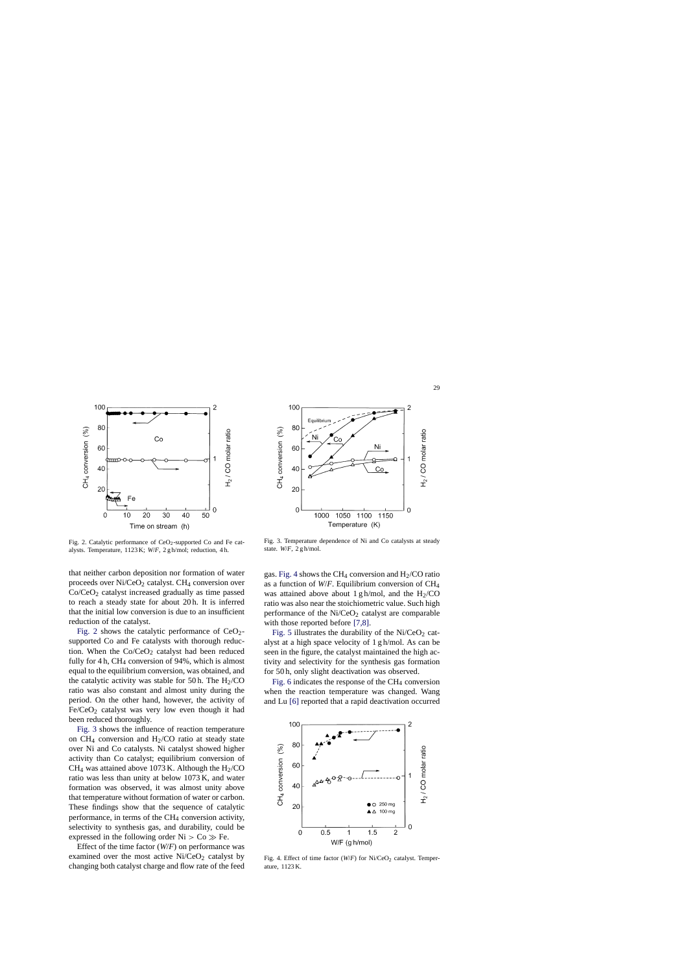

Fig. 2. Catalytic performance of  $CeO<sub>2</sub>$ -supported Co and Fe catalysts. Temperature, 1123 K; *W*/*F*, 2 g h/mol; reduction, 4 h.

that neither carbon deposition nor formation of water proceeds over  $Ni/CeO<sub>2</sub>$  catalyst.  $CH<sub>4</sub>$  conversion over Co/CeO2 catalyst increased gradually as time passed to reach a steady state for about 20 h. It is inferred that the initial low conversion is due to an insufficient reduction of the catalyst.

Fig. 2 shows the catalytic performance of  $CeO<sub>2</sub>$ supported Co and Fe catalysts with thorough reduction. When the  $Co/CeO<sub>2</sub>$  catalyst had been reduced fully for  $4 h$ , CH<sub>4</sub> conversion of  $94\%$ , which is almost equal to the equilibrium conversion, was obtained, and the catalytic activity was stable for 50 h. The  $H<sub>2</sub>/CO$ ratio was also constant and almost unity during the period. On the other hand, however, the activity of  $Fe/CeO<sub>2</sub>$  catalyst was very low even though it had been reduced thoroughly.

Fig. 3 shows the influence of reaction temperature on  $CH_4$  conversion and  $H_2/CO$  ratio at steady state over Ni and Co catalysts. Ni catalyst showed higher activity than Co catalyst; equilibrium conversion of CH<sub>4</sub> was attained above 1073 K. Although the H<sub>2</sub>/CO ratio was less than unity at below 1073 K, and water formation was observed, it was almost unity above that temperature without formation of water or carbon. These findings show that the sequence of catalytic performance, in terms of the CH<sub>4</sub> conversion activity, selectivity to synthesis gas, and durability, could be expressed in the following order  $Ni > Co \gg Fe$ .

Effect of the time factor (*W*/*F*) on performance was examined over the most active  $Ni/CeO<sub>2</sub>$  catalyst by changing both catalyst charge and flow rate of the feed



Fig. 3. Temperature dependence of Ni and Co catalysts at steady state. *W*/*F*, 2 g h/mol.

gas. Fig. 4 shows the CH<sub>4</sub> conversion and  $H<sub>2</sub>/CO$  ratio as a function of *W*/*F*. Equilibrium conversion of CH4 was attained above about 1 g h/mol, and the  $H<sub>2</sub>/CO$ ratio was also near the stoichiometric value. Such high performance of the  $Ni/CeO<sub>2</sub>$  catalyst are comparable with those reported before [\[7,8\].](#page-4-0)

[Fig. 5](#page-3-0) illustrates the durability of the  $Ni/CeO<sub>2</sub>$  catalyst at a high space velocity of 1 g h/mol. As can be seen in the figure, the catalyst maintained the high activity and selectivity for the synthesis gas formation for 50 h, only slight deactivation was observed.

[Fig. 6](#page-3-0) indicates the response of the  $CH<sub>4</sub>$  conversion when the reaction temperature was changed. Wang and Lu [\[6\]](#page-4-0) reported that a rapid deactivation occurred



Fig. 4. Effect of time factor (*W/F*) for Ni/CeO<sub>2</sub> catalyst. Temperature, 1123 K.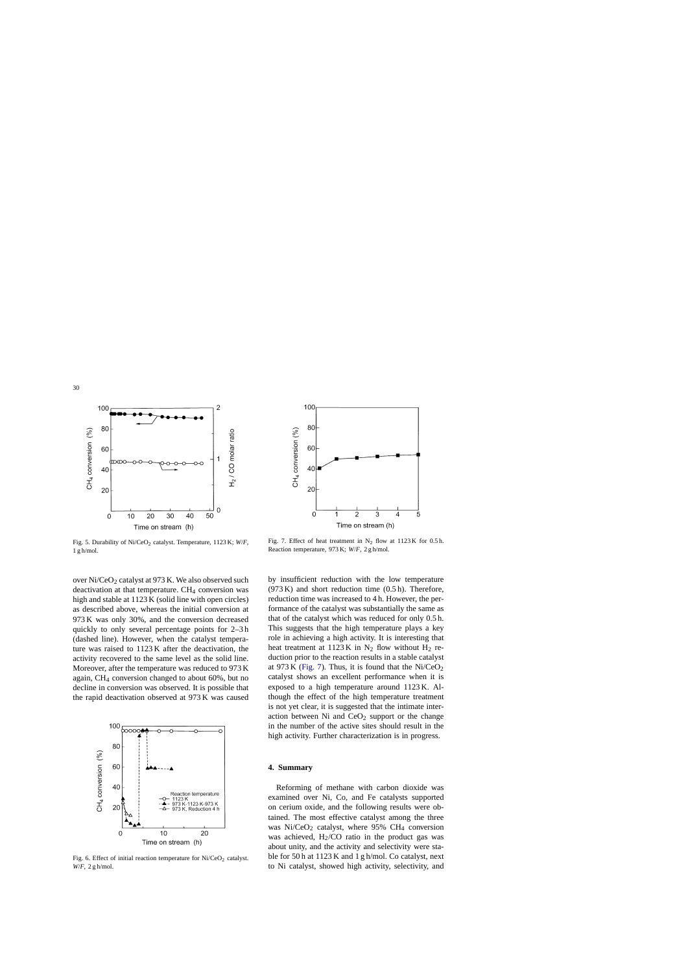<span id="page-3-0"></span>

Fig. 5. Durability of Ni/CeO<sub>2</sub> catalyst. Temperature, 1123 K; W/F, 1 g h/mol.

over  $Ni/CeO<sub>2</sub>$  catalyst at 973 K. We also observed such deactivation at that temperature.  $CH<sub>4</sub>$  conversion was high and stable at 1123 K (solid line with open circles) as described above, whereas the initial conversion at 973 K was only 30%, and the conversion decreased quickly to only several percentage points for 2–3 h (dashed line). However, when the catalyst temperature was raised to 1123 K after the deactivation, the activity recovered to the same level as the solid line. Moreover, after the temperature was reduced to 973 K again, CH4 conversion changed to about 60%, but no decline in conversion was observed. It is possible that the rapid deactivation observed at 973 K was caused



Fig. 6. Effect of initial reaction temperature for Ni/CeO<sub>2</sub> catalyst. *W*/*F*, 2 g h/mol.



Fig. 7. Effect of heat treatment in  $N_2$  flow at 1123 K for 0.5 h. Reaction temperature, 973 K; *W*/*F*, 2 g h/mol.

by insufficient reduction with the low temperature  $(973 K)$  and short reduction time  $(0.5 h)$ . Therefore, reduction time was increased to 4 h. However, the performance of the catalyst was substantially the same as that of the catalyst which was reduced for only 0.5 h. This suggests that the high temperature plays a key role in achieving a high activity. It is interesting that heat treatment at 1123 K in  $N_2$  flow without  $H_2$  reduction prior to the reaction results in a stable catalyst at 973 K (Fig. 7). Thus, it is found that the  $Ni/CeO<sub>2</sub>$ catalyst shows an excellent performance when it is exposed to a high temperature around 1123 K. Although the effect of the high temperature treatment is not yet clear, it is suggested that the intimate interaction between Ni and  $CeO<sub>2</sub>$  support or the change in the number of the active sites should result in the high activity. Further characterization is in progress.

## **4. Summary**

Reforming of methane with carbon dioxide was examined over Ni, Co, and Fe catalysts supported on cerium oxide, and the following results were obtained. The most effective catalyst among the three was  $Ni/CeO<sub>2</sub>$  catalyst, where 95% CH<sub>4</sub> conversion was achieved,  $H_2/CO$  ratio in the product gas was about unity, and the activity and selectivity were stable for 50 h at 1123 K and 1 g h/mol. Co catalyst, next to Ni catalyst, showed high activity, selectivity, and